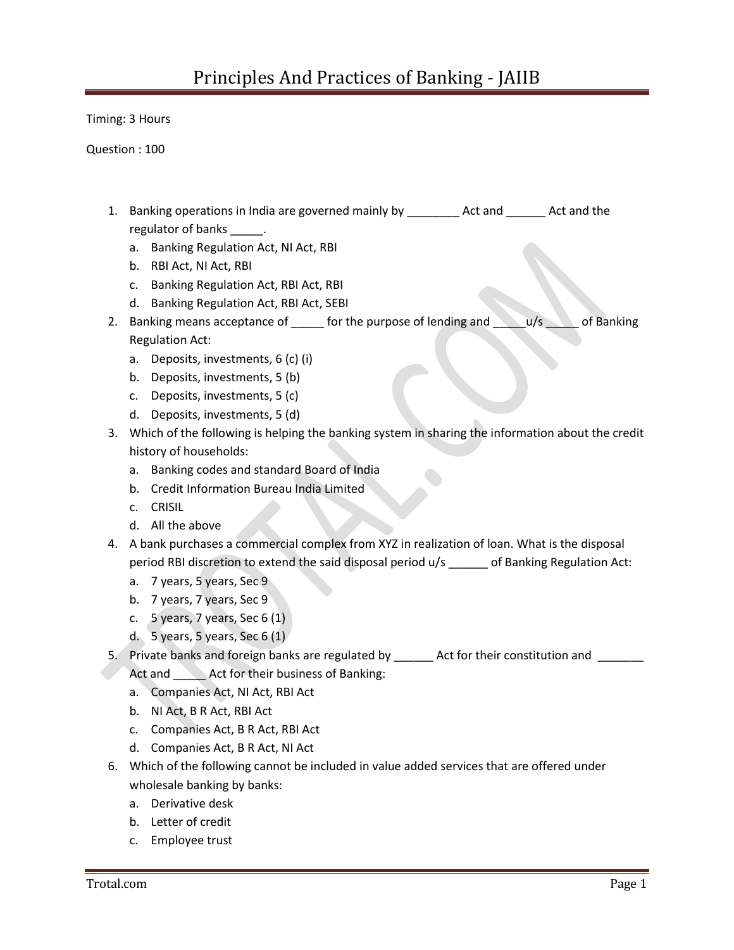Timing: 3 Hours

Question : 100

- 1. Banking operations in India are governed mainly by \_\_\_\_\_\_\_\_ Act and \_\_\_\_\_\_ Act and the regulator of banks \_\_\_\_\_.
	- a. Banking Regulation Act, NI Act, RBI
	- b. RBI Act, NI Act, RBI
	- c. Banking Regulation Act, RBI Act, RBI
	- d. Banking Regulation Act, RBI Act, SEBI
- 2. Banking means acceptance of  $\_\_\_\_$  for the purpose of lending and  $\_\_\_\_$ u/s  $\_\_\_$ of Banking Regulation Act:
	- a. Deposits, investments, 6 (c) (i)
	- b. Deposits, investments, 5 (b)
	- c. Deposits, investments, 5 (c)
	- d. Deposits, investments, 5 (d)
- 3. Which of the following is helping the banking system in sharing the information about the credit history of households:
	- a. Banking codes and standard Board of India
	- b. Credit Information Bureau India Limited
	- c. CRISIL
	- d. All the above
- 4. A bank purchases a commercial complex from XYZ in realization of loan. What is the disposal period RBI discretion to extend the said disposal period u/s \_\_\_\_\_\_ of Banking Regulation Act:
	- a. 7 years, 5 years, Sec 9
	- b. 7 years, 7 years, Sec 9
	- c.  $5$  years, 7 years, Sec 6 (1)
	- d. 5 years, 5 years, Sec 6  $(1)$
- 5. Private banks and foreign banks are regulated by \_\_\_\_\_\_ Act for their constitution and \_\_\_\_\_\_ Act and **Act for their business of Banking:** 
	- a. Companies Act, NI Act, RBI Act
	- b. NI Act, B R Act, RBI Act
	- c. Companies Act, B R Act, RBI Act
	- d. Companies Act, B R Act, NI Act
- 6. Which of the following cannot be included in value added services that are offered under wholesale banking by banks:
	- a. Derivative desk
	- b. Letter of credit
	- c. Employee trust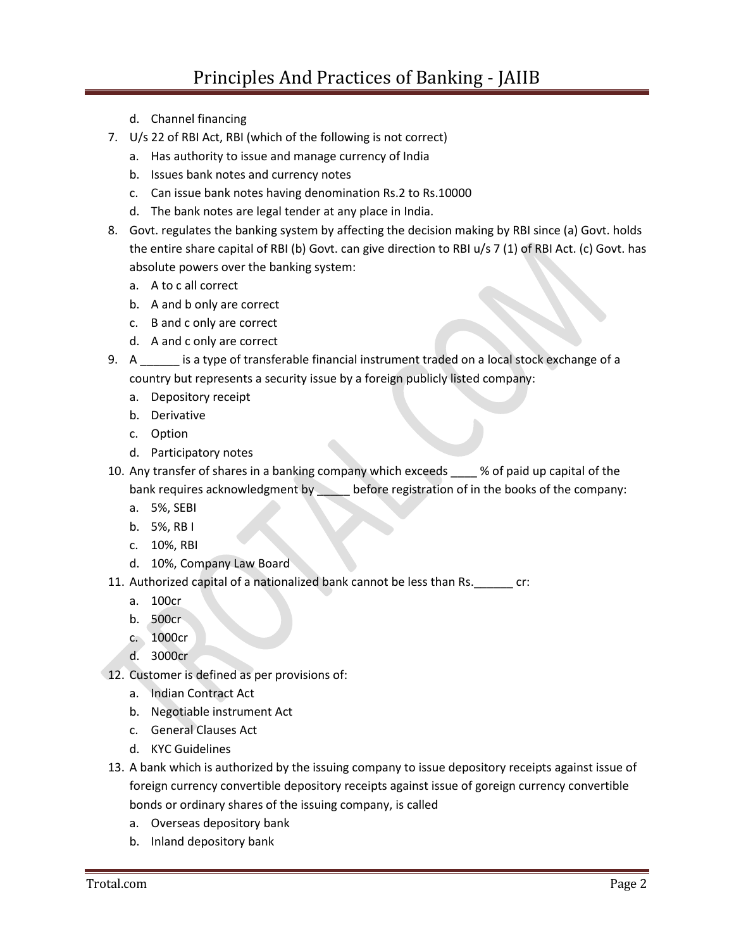- d. Channel financing
- 7. U/s 22 of RBI Act, RBI (which of the following is not correct)
	- a. Has authority to issue and manage currency of India
	- b. Issues bank notes and currency notes
	- c. Can issue bank notes having denomination Rs.2 to Rs.10000
	- d. The bank notes are legal tender at any place in India.
- 8. Govt. regulates the banking system by affecting the decision making by RBI since (a) Govt. holds the entire share capital of RBI (b) Govt. can give direction to RBI u/s 7 (1) of RBI Act. (c) Govt. has absolute powers over the banking system:
	- a. A to c all correct
	- b. A and b only are correct
	- c. B and c only are correct
	- d. A and c only are correct
- 9. A \_\_\_\_\_\_ is a type of transferable financial instrument traded on a local stock exchange of a country but represents a security issue by a foreign publicly listed company:
	- a. Depository receipt
	- b. Derivative
	- c. Option
	- d. Participatory notes
- 10. Any transfer of shares in a banking company which exceeds \_\_\_\_ % of paid up capital of the bank requires acknowledgment by \_\_\_\_\_\_ before registration of in the books of the company:
	- a. 5%, SEBI
	- b. 5%, RB I
	- c. 10%, RBI
	- d. 10%, Company Law Board
- 11. Authorized capital of a nationalized bank cannot be less than Rs.\_\_\_\_\_\_ cr:
	- a. 100cr
	- b. 500cr
	- c. 1000cr
	- d. 3000cr
- 12. Customer is defined as per provisions of:
	- a. Indian Contract Act
	- b. Negotiable instrument Act
	- c. General Clauses Act
	- d. KYC Guidelines
- 13. A bank which is authorized by the issuing company to issue depository receipts against issue of foreign currency convertible depository receipts against issue of goreign currency convertible bonds or ordinary shares of the issuing company, is called
	- a. Overseas depository bank
	- b. Inland depository bank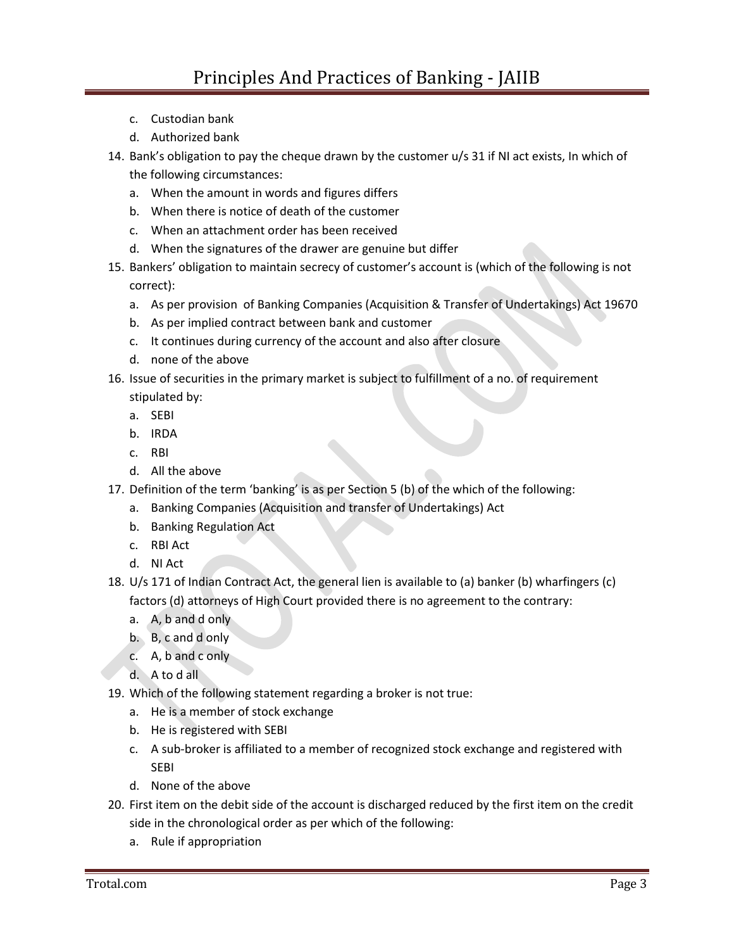- c. Custodian bank
- d. Authorized bank
- 14. Bank's obligation to pay the cheque drawn by the customer u/s 31 if NI act exists, In which of the following circumstances:
	- a. When the amount in words and figures differs
	- b. When there is notice of death of the customer
	- c. When an attachment order has been received
	- d. When the signatures of the drawer are genuine but differ
- 15. Bankers' obligation to maintain secrecy of customer's account is (which of the following is not correct):
	- a. As per provision of Banking Companies (Acquisition & Transfer of Undertakings) Act 19670
	- b. As per implied contract between bank and customer
	- c. It continues during currency of the account and also after closure
	- d. none of the above
- 16. Issue of securities in the primary market is subject to fulfillment of a no. of requirement

stipulated by:

- a. SEBI
- b. IRDA
- c. RBI
- d. All the above
- 17. Definition of the term 'banking' is as per Section 5 (b) of the which of the following:
	- a. Banking Companies (Acquisition and transfer of Undertakings) Act
	- b. Banking Regulation Act
	- c. RBI Act
	- d. NI Act
- 18. U/s 171 of Indian Contract Act, the general lien is available to (a) banker (b) wharfingers (c) factors (d) attorneys of High Court provided there is no agreement to the contrary:
	- a. A, b and d only
	- b. B, c and d only
	- c. A, b and c only
	- d. A to d all
- 19. Which of the following statement regarding a broker is not true:
	- a. He is a member of stock exchange
	- b. He is registered with SEBI
	- c. A sub-broker is affiliated to a member of recognized stock exchange and registered with SEBI
	- d. None of the above
- 20. First item on the debit side of the account is discharged reduced by the first item on the credit side in the chronological order as per which of the following:
	- a. Rule if appropriation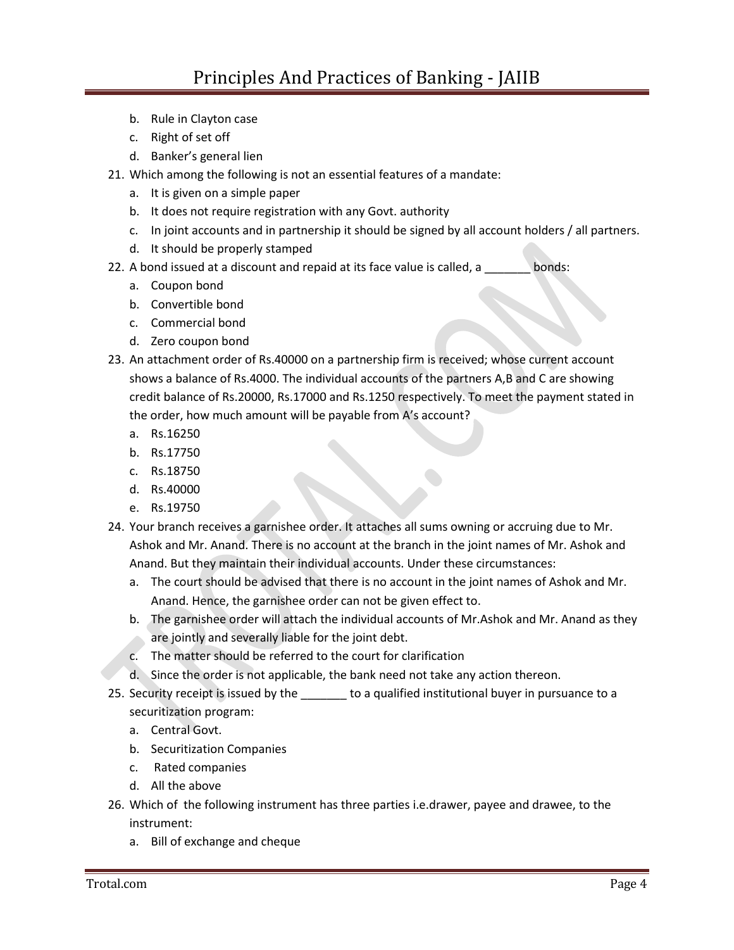- b. Rule in Clayton case
- c. Right of set off
- d. Banker's general lien
- 21. Which among the following is not an essential features of a mandate:
	- a. It is given on a simple paper
	- b. It does not require registration with any Govt. authority
	- c. In joint accounts and in partnership it should be signed by all account holders / all partners.
	- d. It should be properly stamped
- 22. A bond issued at a discount and repaid at its face value is called, a subset bonds:
	- a. Coupon bond
	- b. Convertible bond
	- c. Commercial bond
	- d. Zero coupon bond
- 23. An attachment order of Rs.40000 on a partnership firm is received; whose current account shows a balance of Rs.4000. The individual accounts of the partners A,B and C are showing credit balance of Rs.20000, Rs.17000 and Rs.1250 respectively. To meet the payment stated in the order, how much amount will be payable from A's account?
	- a. Rs.16250
	- b. Rs.17750
	- c. Rs.18750
	- d. Rs.40000
	- e. Rs.19750
- 24. Your branch receives a garnishee order. It attaches all sums owning or accruing due to Mr. Ashok and Mr. Anand. There is no account at the branch in the joint names of Mr. Ashok and Anand. But they maintain their individual accounts. Under these circumstances:
	- a. The court should be advised that there is no account in the joint names of Ashok and Mr. Anand. Hence, the garnishee order can not be given effect to.
	- b. The garnishee order will attach the individual accounts of Mr.Ashok and Mr. Anand as they are jointly and severally liable for the joint debt.
	- c. The matter should be referred to the court for clarification
	- d. Since the order is not applicable, the bank need not take any action thereon.
- 25. Security receipt is issued by the the a qualified institutional buyer in pursuance to a securitization program:
	- a. Central Govt.
	- b. Securitization Companies
	- c. Rated companies
	- d. All the above
- 26. Which of the following instrument has three parties i.e.drawer, payee and drawee, to the instrument:
	- a. Bill of exchange and cheque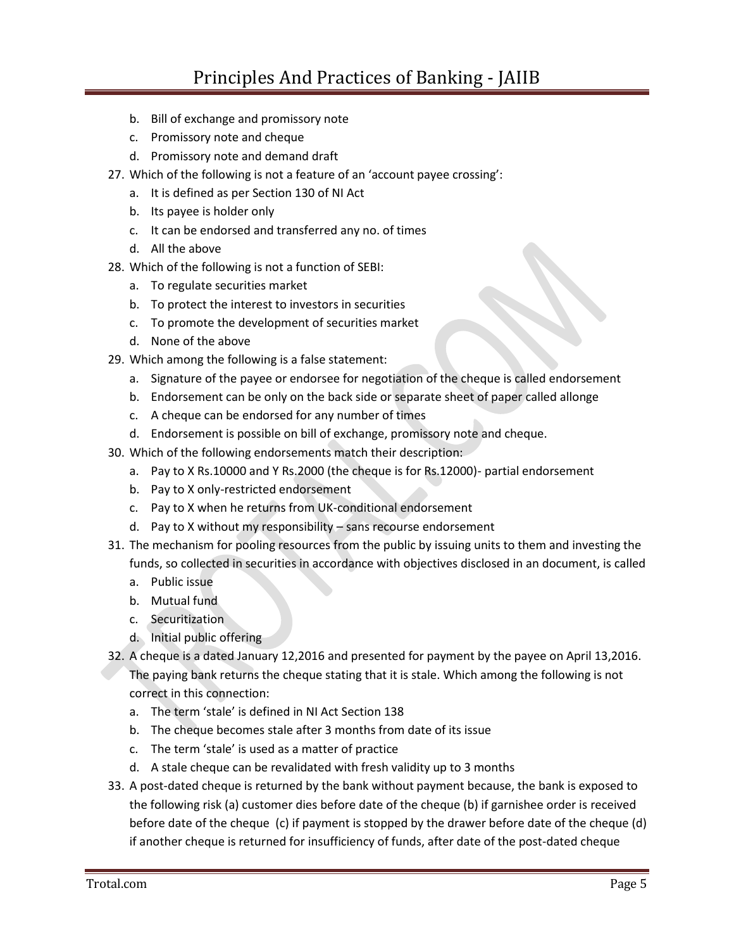- b. Bill of exchange and promissory note
- c. Promissory note and cheque
- d. Promissory note and demand draft
- 27. Which of the following is not a feature of an 'account payee crossing':
	- a. It is defined as per Section 130 of NI Act
	- b. Its payee is holder only
	- c. It can be endorsed and transferred any no. of times
	- d. All the above
- 28. Which of the following is not a function of SEBI:
	- a. To regulate securities market
	- b. To protect the interest to investors in securities
	- c. To promote the development of securities market
	- d. None of the above
- 29. Which among the following is a false statement:
	- a. Signature of the payee or endorsee for negotiation of the cheque is called endorsement
	- b. Endorsement can be only on the back side or separate sheet of paper called allonge
	- c. A cheque can be endorsed for any number of times
	- d. Endorsement is possible on bill of exchange, promissory note and cheque.
- 30. Which of the following endorsements match their description:
	- a. Pay to X Rs.10000 and Y Rs.2000 (the cheque is for Rs.12000)- partial endorsement
	- b. Pay to X only-restricted endorsement
	- c. Pay to X when he returns from UK-conditional endorsement
	- d. Pay to X without my responsibility sans recourse endorsement
- 31. The mechanism for pooling resources from the public by issuing units to them and investing the funds, so collected in securities in accordance with objectives disclosed in an document, is called
	- a. Public issue
	- b. Mutual fund
	- c. Securitization
	- d. Initial public offering
- 32. A cheque is a dated January 12,2016 and presented for payment by the payee on April 13,2016. The paying bank returns the cheque stating that it is stale. Which among the following is not correct in this connection:
	- a. The term 'stale' is defined in NI Act Section 138
	- b. The cheque becomes stale after 3 months from date of its issue
	- c. The term 'stale' is used as a matter of practice
	- d. A stale cheque can be revalidated with fresh validity up to 3 months
- 33. A post-dated cheque is returned by the bank without payment because, the bank is exposed to the following risk (a) customer dies before date of the cheque (b) if garnishee order is received before date of the cheque (c) if payment is stopped by the drawer before date of the cheque (d) if another cheque is returned for insufficiency of funds, after date of the post-dated cheque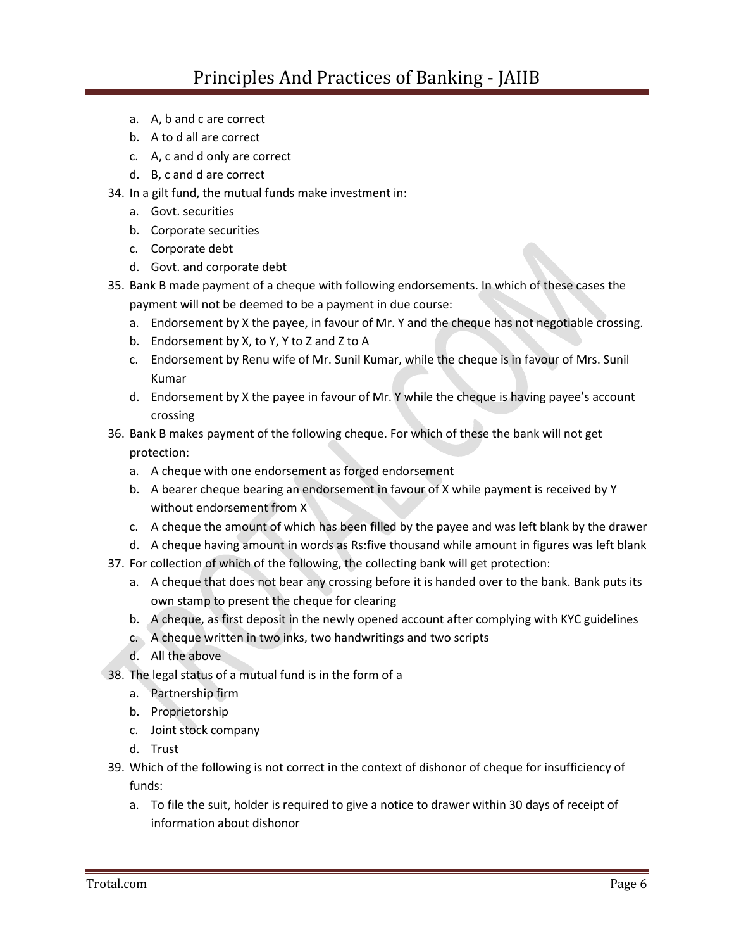- a. A, b and c are correct
- b. A to d all are correct
- c. A, c and d only are correct
- d. B, c and d are correct
- 34. In a gilt fund, the mutual funds make investment in:
	- a. Govt. securities
	- b. Corporate securities
	- c. Corporate debt
	- d. Govt. and corporate debt
- 35. Bank B made payment of a cheque with following endorsements. In which of these cases the payment will not be deemed to be a payment in due course:
	- a. Endorsement by X the payee, in favour of Mr. Y and the cheque has not negotiable crossing.
	- b. Endorsement by X, to Y, Y to Z and Z to A
	- c. Endorsement by Renu wife of Mr. Sunil Kumar, while the cheque is in favour of Mrs. Sunil Kumar
	- d. Endorsement by X the payee in favour of Mr. Y while the cheque is having payee's account crossing
- 36. Bank B makes payment of the following cheque. For which of these the bank will not get protection:
	- a. A cheque with one endorsement as forged endorsement
	- b. A bearer cheque bearing an endorsement in favour of X while payment is received by Y without endorsement from X
	- c. A cheque the amount of which has been filled by the payee and was left blank by the drawer
	- d. A cheque having amount in words as Rs:five thousand while amount in figures was left blank
- 37. For collection of which of the following, the collecting bank will get protection:
	- a. A cheque that does not bear any crossing before it is handed over to the bank. Bank puts its own stamp to present the cheque for clearing
	- b. A cheque, as first deposit in the newly opened account after complying with KYC guidelines
	- c. A cheque written in two inks, two handwritings and two scripts
	- d. All the above
- 38. The legal status of a mutual fund is in the form of a
	- a. Partnership firm
	- b. Proprietorship
	- c. Joint stock company
	- d. Trust
- 39. Which of the following is not correct in the context of dishonor of cheque for insufficiency of funds:
	- a. To file the suit, holder is required to give a notice to drawer within 30 days of receipt of information about dishonor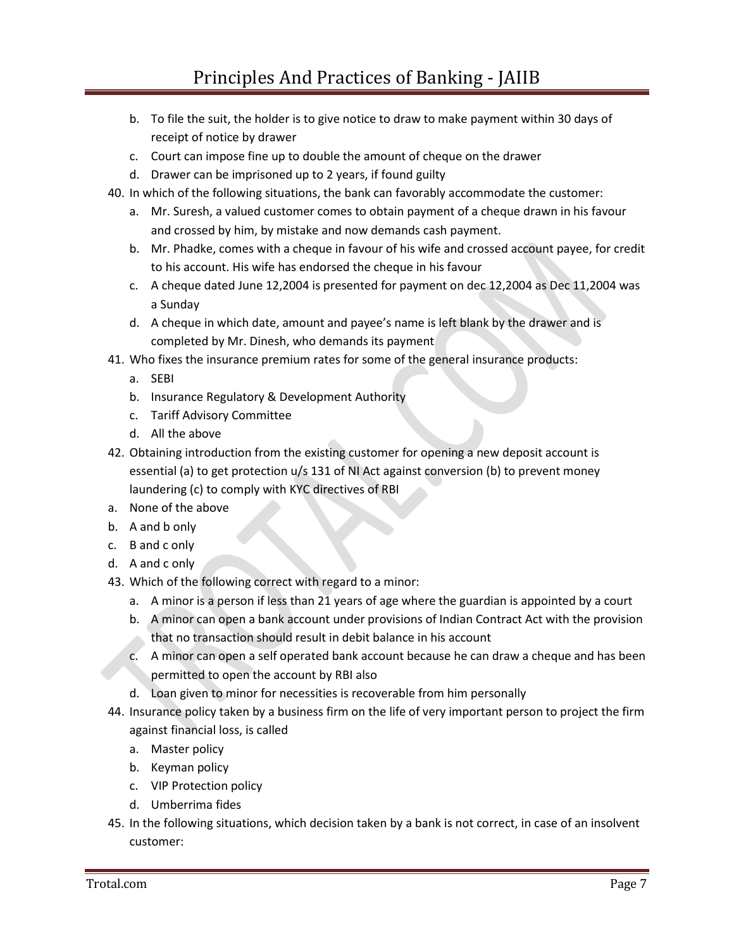- b. To file the suit, the holder is to give notice to draw to make payment within 30 days of receipt of notice by drawer
- c. Court can impose fine up to double the amount of cheque on the drawer
- d. Drawer can be imprisoned up to 2 years, if found guilty
- 40. In which of the following situations, the bank can favorably accommodate the customer:
	- a. Mr. Suresh, a valued customer comes to obtain payment of a cheque drawn in his favour and crossed by him, by mistake and now demands cash payment.
	- b. Mr. Phadke, comes with a cheque in favour of his wife and crossed account payee, for credit to his account. His wife has endorsed the cheque in his favour
	- c. A cheque dated June 12,2004 is presented for payment on dec 12,2004 as Dec 11,2004 was a Sunday
	- d. A cheque in which date, amount and payee's name is left blank by the drawer and is completed by Mr. Dinesh, who demands its payment
- 41. Who fixes the insurance premium rates for some of the general insurance products:
	- a. SEBI
	- b. Insurance Regulatory & Development Authority
	- c. Tariff Advisory Committee
	- d. All the above
- 42. Obtaining introduction from the existing customer for opening a new deposit account is essential (a) to get protection u/s 131 of NI Act against conversion (b) to prevent money laundering (c) to comply with KYC directives of RBI
- a. None of the above
- b. A and b only
- c. B and c only
- d. A and c only
- 43. Which of the following correct with regard to a minor:
	- a. A minor is a person if less than 21 years of age where the guardian is appointed by a court
	- b. A minor can open a bank account under provisions of Indian Contract Act with the provision that no transaction should result in debit balance in his account
	- c. A minor can open a self operated bank account because he can draw a cheque and has been permitted to open the account by RBI also
	- d. Loan given to minor for necessities is recoverable from him personally
- 44. Insurance policy taken by a business firm on the life of very important person to project the firm against financial loss, is called
	- a. Master policy
	- b. Keyman policy
	- c. VIP Protection policy
	- d. Umberrima fides
- 45. In the following situations, which decision taken by a bank is not correct, in case of an insolvent customer: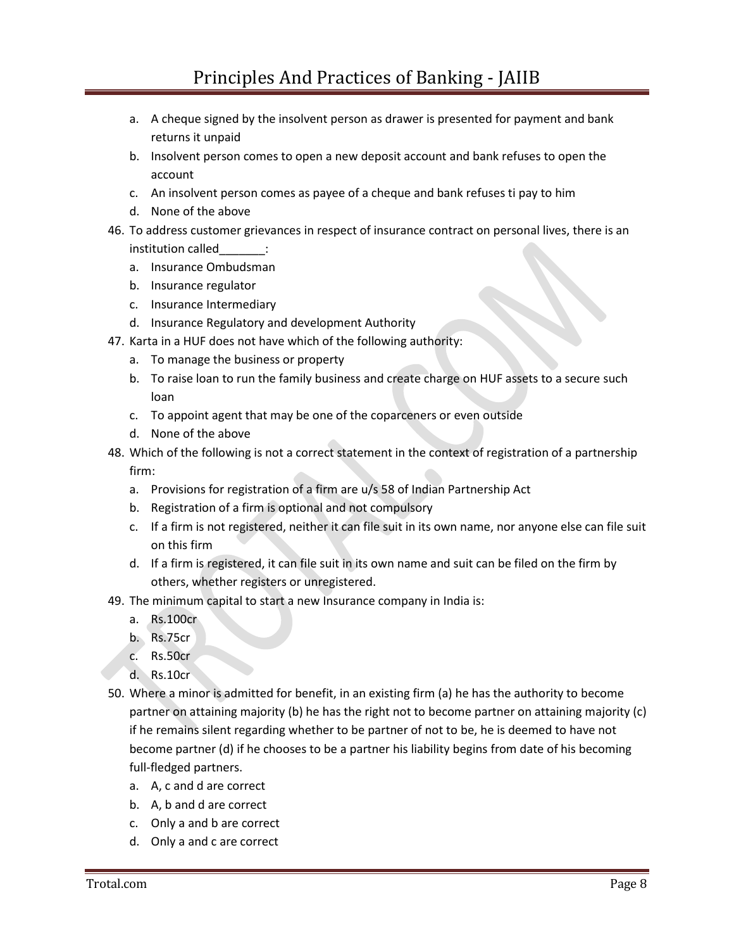- a. A cheque signed by the insolvent person as drawer is presented for payment and bank returns it unpaid
- b. Insolvent person comes to open a new deposit account and bank refuses to open the account
- c. An insolvent person comes as payee of a cheque and bank refuses ti pay to him
- d. None of the above
- 46. To address customer grievances in respect of insurance contract on personal lives, there is an institution called  $\qquad$  :
	- a. Insurance Ombudsman
	- b. Insurance regulator
	- c. Insurance Intermediary
	- d. Insurance Regulatory and development Authority
- 47. Karta in a HUF does not have which of the following authority:
	- a. To manage the business or property
	- b. To raise loan to run the family business and create charge on HUF assets to a secure such loan
	- c. To appoint agent that may be one of the coparceners or even outside
	- d. None of the above
- 48. Which of the following is not a correct statement in the context of registration of a partnership firm:
	- a. Provisions for registration of a firm are u/s 58 of Indian Partnership Act
	- b. Registration of a firm is optional and not compulsory
	- c. If a firm is not registered, neither it can file suit in its own name, nor anyone else can file suit on this firm
	- d. If a firm is registered, it can file suit in its own name and suit can be filed on the firm by others, whether registers or unregistered.
- 49. The minimum capital to start a new Insurance company in India is:
	- a. Rs.100cr
	- b. Rs.75cr
	- c. Rs.50cr
	- d. Rs.10cr
- 50. Where a minor is admitted for benefit, in an existing firm (a) he has the authority to become partner on attaining majority (b) he has the right not to become partner on attaining majority (c) if he remains silent regarding whether to be partner of not to be, he is deemed to have not become partner (d) if he chooses to be a partner his liability begins from date of his becoming full-fledged partners.
	- a. A, c and d are correct
	- b. A, b and d are correct
	- c. Only a and b are correct
	- d. Only a and c are correct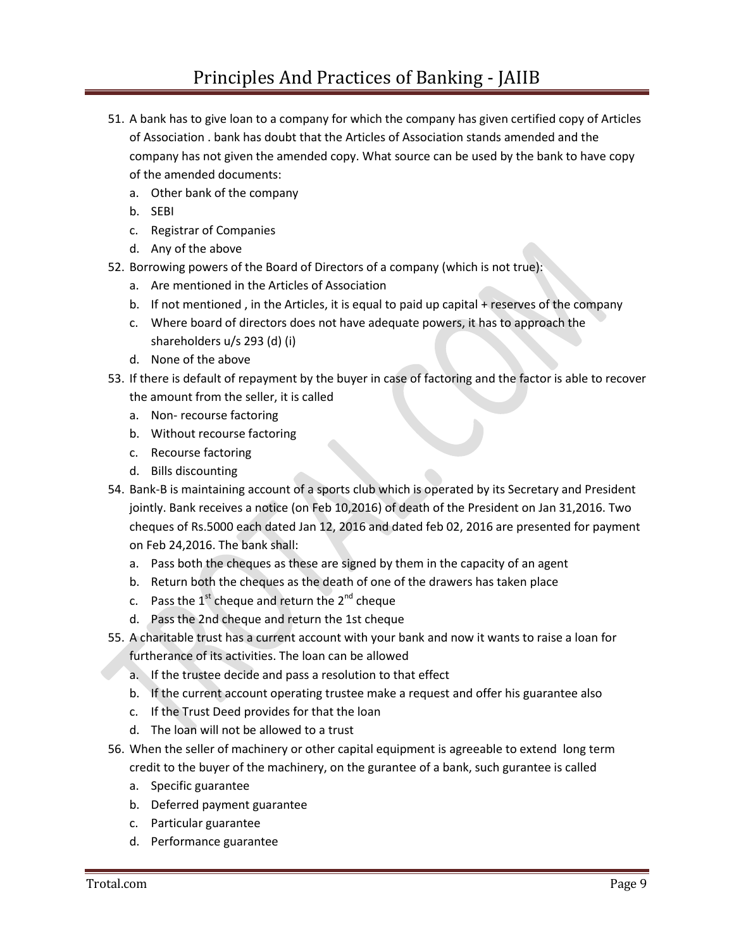- 51. A bank has to give loan to a company for which the company has given certified copy of Articles of Association . bank has doubt that the Articles of Association stands amended and the company has not given the amended copy. What source can be used by the bank to have copy of the amended documents:
	- a. Other bank of the company
	- b. SEBI
	- c. Registrar of Companies
	- d. Any of the above
- 52. Borrowing powers of the Board of Directors of a company (which is not true):
	- a. Are mentioned in the Articles of Association
	- b. If not mentioned, in the Articles, it is equal to paid up capital + reserves of the company
	- c. Where board of directors does not have adequate powers, it has to approach the shareholders u/s 293 (d) (i)
	- d. None of the above
- 53. If there is default of repayment by the buyer in case of factoring and the factor is able to recover the amount from the seller, it is called
	- a. Non- recourse factoring
	- b. Without recourse factoring
	- c. Recourse factoring
	- d. Bills discounting
- 54. Bank-B is maintaining account of a sports club which is operated by its Secretary and President jointly. Bank receives a notice (on Feb 10,2016) of death of the President on Jan 31,2016. Two cheques of Rs.5000 each dated Jan 12, 2016 and dated feb 02, 2016 are presented for payment on Feb 24,2016. The bank shall:
	- a. Pass both the cheques as these are signed by them in the capacity of an agent
	- b. Return both the cheques as the death of one of the drawers has taken place
	- c. Pass the  $1^{st}$  cheque and return the  $2^{nd}$  cheque
	- d. Pass the 2nd cheque and return the 1st cheque
- 55. A charitable trust has a current account with your bank and now it wants to raise a loan for furtherance of its activities. The loan can be allowed
	- a. If the trustee decide and pass a resolution to that effect
	- b. If the current account operating trustee make a request and offer his guarantee also
	- c. If the Trust Deed provides for that the loan
	- d. The loan will not be allowed to a trust
- 56. When the seller of machinery or other capital equipment is agreeable to extend long term credit to the buyer of the machinery, on the gurantee of a bank, such gurantee is called
	- a. Specific guarantee
	- b. Deferred payment guarantee
	- c. Particular guarantee
	- d. Performance guarantee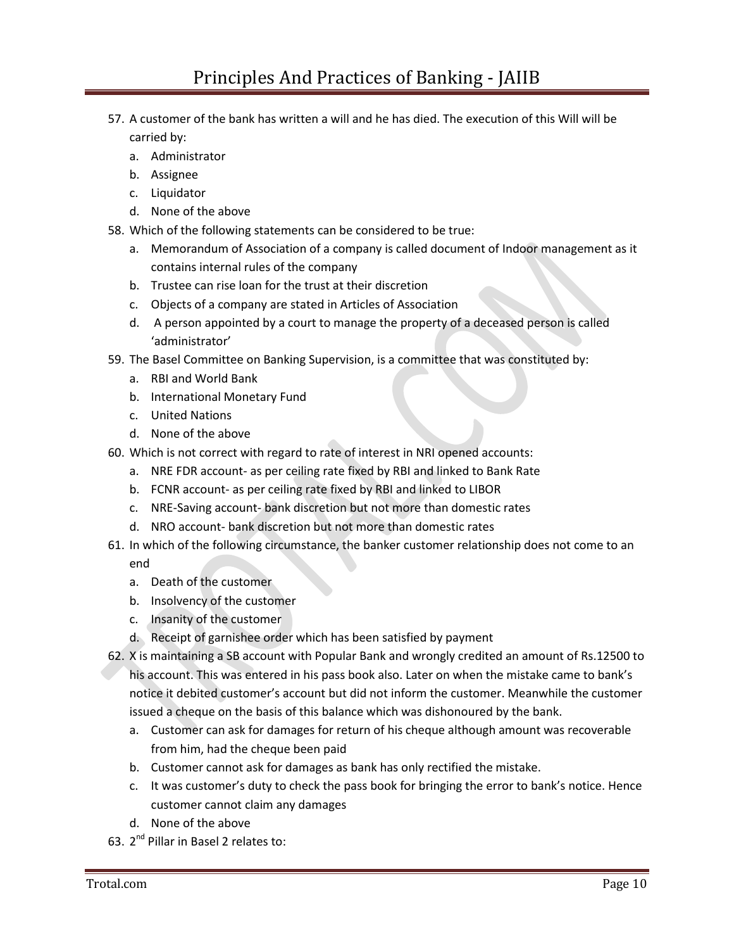- 57. A customer of the bank has written a will and he has died. The execution of this Will will be carried by:
	- a. Administrator
	- b. Assignee
	- c. Liquidator
	- d. None of the above
- 58. Which of the following statements can be considered to be true:
	- a. Memorandum of Association of a company is called document of Indoor management as it contains internal rules of the company
	- b. Trustee can rise loan for the trust at their discretion
	- c. Objects of a company are stated in Articles of Association
	- d. A person appointed by a court to manage the property of a deceased person is called 'administrator'
- 59. The Basel Committee on Banking Supervision, is a committee that was constituted by:
	- a. RBI and World Bank
	- b. International Monetary Fund
	- c. United Nations
	- d. None of the above
- 60. Which is not correct with regard to rate of interest in NRI opened accounts:
	- a. NRE FDR account- as per ceiling rate fixed by RBI and linked to Bank Rate
	- b. FCNR account- as per ceiling rate fixed by RBI and linked to LIBOR
	- c. NRE-Saving account- bank discretion but not more than domestic rates
	- d. NRO account- bank discretion but not more than domestic rates
- 61. In which of the following circumstance, the banker customer relationship does not come to an end
	- a. Death of the customer
	- b. Insolvency of the customer
	- c. Insanity of the customer
	- d. Receipt of garnishee order which has been satisfied by payment
- 62. X is maintaining a SB account with Popular Bank and wrongly credited an amount of Rs.12500 to his account. This was entered in his pass book also. Later on when the mistake came to bank's notice it debited customer's account but did not inform the customer. Meanwhile the customer issued a cheque on the basis of this balance which was dishonoured by the bank.
	- a. Customer can ask for damages for return of his cheque although amount was recoverable from him, had the cheque been paid
	- b. Customer cannot ask for damages as bank has only rectified the mistake.
	- c. It was customer's duty to check the pass book for bringing the error to bank's notice. Hence customer cannot claim any damages
	- d. None of the above
- 63. 2<sup>nd</sup> Pillar in Basel 2 relates to: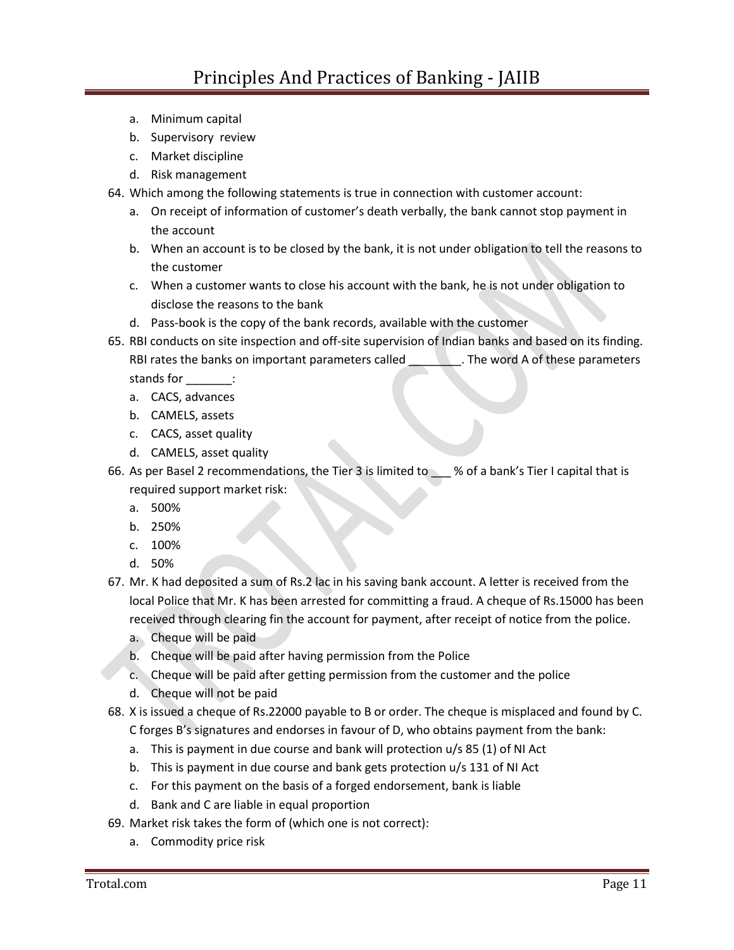- a. Minimum capital
- b. Supervisory review
- c. Market discipline
- d. Risk management
- 64. Which among the following statements is true in connection with customer account:
	- a. On receipt of information of customer's death verbally, the bank cannot stop payment in the account
	- b. When an account is to be closed by the bank, it is not under obligation to tell the reasons to the customer
	- c. When a customer wants to close his account with the bank, he is not under obligation to disclose the reasons to the bank
	- d. Pass-book is the copy of the bank records, available with the customer
- 65. RBI conducts on site inspection and off-site supervision of Indian banks and based on its finding. RBI rates the banks on important parameters called \_\_\_\_\_\_\_\_\_. The word A of these parameters stands for  $\qquad$  :
	- a. CACS, advances
	- b. CAMELS, assets
	- c. CACS, asset quality
	- d. CAMELS, asset quality
- 66. As per Basel 2 recommendations, the Tier 3 is limited to \_\_\_ % of a bank's Tier I capital that is required support market risk:
	- a. 500%
	- b. 250%
	- c. 100%
	- d. 50%
- 67. Mr. K had deposited a sum of Rs.2 lac in his saving bank account. A letter is received from the local Police that Mr. K has been arrested for committing a fraud. A cheque of Rs.15000 has been received through clearing fin the account for payment, after receipt of notice from the police.
	- a. Cheque will be paid
	- b. Cheque will be paid after having permission from the Police
	- c. Cheque will be paid after getting permission from the customer and the police
	- d. Cheque will not be paid
- 68. X is issued a cheque of Rs.22000 payable to B or order. The cheque is misplaced and found by C.
	- C forges B's signatures and endorses in favour of D, who obtains payment from the bank:
	- a. This is payment in due course and bank will protection u/s 85 (1) of NI Act
	- b. This is payment in due course and bank gets protection u/s 131 of NI Act
	- c. For this payment on the basis of a forged endorsement, bank is liable
	- d. Bank and C are liable in equal proportion
- 69. Market risk takes the form of (which one is not correct):
	- a. Commodity price risk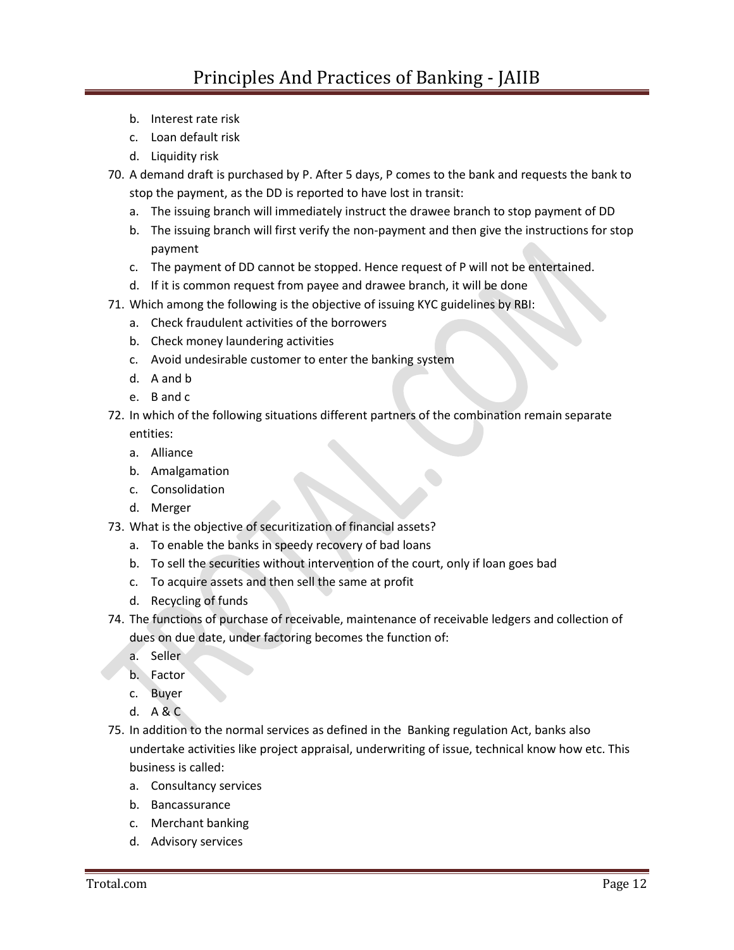- b. Interest rate risk
- c. Loan default risk
- d. Liquidity risk
- 70. A demand draft is purchased by P. After 5 days, P comes to the bank and requests the bank to stop the payment, as the DD is reported to have lost in transit:
	- a. The issuing branch will immediately instruct the drawee branch to stop payment of DD
	- b. The issuing branch will first verify the non-payment and then give the instructions for stop payment
	- c. The payment of DD cannot be stopped. Hence request of P will not be entertained.
	- d. If it is common request from payee and drawee branch, it will be done
- 71. Which among the following is the objective of issuing KYC guidelines by RBI:
	- a. Check fraudulent activities of the borrowers
	- b. Check money laundering activities
	- c. Avoid undesirable customer to enter the banking system
	- d. A and b
	- e. B and c
- 72. In which of the following situations different partners of the combination remain separate entities:
	- a. Alliance
	- b. Amalgamation
	- c. Consolidation
	- d. Merger
- 73. What is the objective of securitization of financial assets?
	- a. To enable the banks in speedy recovery of bad loans
	- b. To sell the securities without intervention of the court, only if loan goes bad
	- c. To acquire assets and then sell the same at profit
	- d. Recycling of funds
- 74. The functions of purchase of receivable, maintenance of receivable ledgers and collection of dues on due date, under factoring becomes the function of:
	- a. Seller
	- b. Factor
	- c. Buyer
	- d. A & C
- 75. In addition to the normal services as defined in the Banking regulation Act, banks also undertake activities like project appraisal, underwriting of issue, technical know how etc. This business is called:
	- a. Consultancy services
	- b. Bancassurance
	- c. Merchant banking
	- d. Advisory services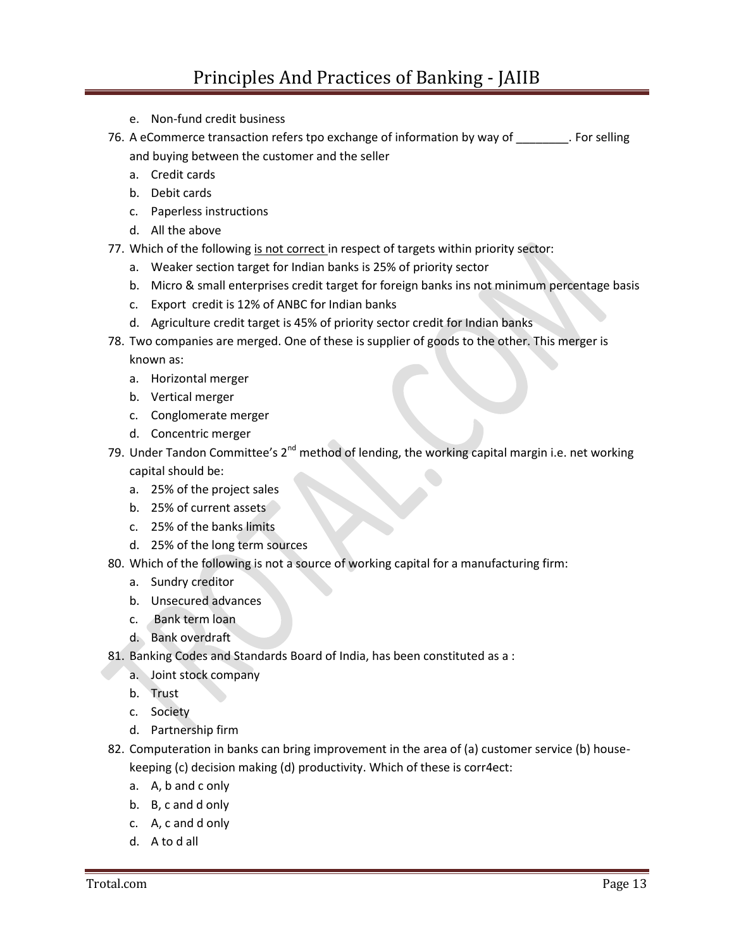- e. Non-fund credit business
- 76. A eCommerce transaction refers tpo exchange of information by way of \_\_\_\_\_\_\_\_. For selling and buying between the customer and the seller
	- a. Credit cards
	- b. Debit cards
	- c. Paperless instructions
	- d. All the above
- 77. Which of the following is not correct in respect of targets within priority sector:
	- a. Weaker section target for Indian banks is 25% of priority sector
	- b. Micro & small enterprises credit target for foreign banks ins not minimum percentage basis
	- c. Export credit is 12% of ANBC for Indian banks
	- d. Agriculture credit target is 45% of priority sector credit for Indian banks
- 78. Two companies are merged. One of these is supplier of goods to the other. This merger is known as:
	- a. Horizontal merger
	- b. Vertical merger
	- c. Conglomerate merger
	- d. Concentric merger
- 79. Under Tandon Committee's  $2^{nd}$  method of lending, the working capital margin i.e. net working capital should be:
	- a. 25% of the project sales
	- b. 25% of current assets
	- c. 25% of the banks limits
	- d. 25% of the long term sources
- 80. Which of the following is not a source of working capital for a manufacturing firm:
	- a. Sundry creditor
	- b. Unsecured advances
	- c. Bank term loan
	- d. Bank overdraft
- 81. Banking Codes and Standards Board of India, has been constituted as a :
	- a. Joint stock company
	- b. Trust
	- c. Society
	- d. Partnership firm
- 82. Computeration in banks can bring improvement in the area of (a) customer service (b) housekeeping (c) decision making (d) productivity. Which of these is corr4ect:
	- a. A, b and c only
	- b. B, c and d only
	- c. A, c and d only
	- d. A to d all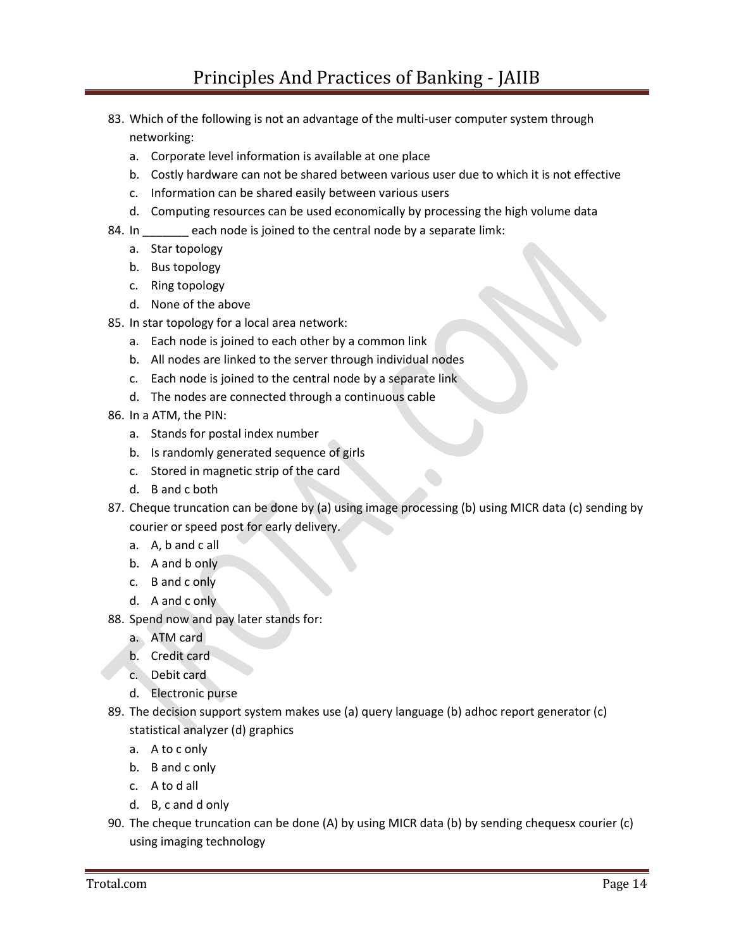- 83. Which of the following is not an advantage of the multi-user computer system through networking:
	- a. Corporate level information is available at one place
	- b. Costly hardware can not be shared between various user due to which it is not effective
	- c. Information can be shared easily between various users
	- d. Computing resources can be used economically by processing the high volume data
- 84. In \_\_\_\_\_\_ each node is joined to the central node by a separate limk:
	- a. Star topology
	- b. Bus topology
	- c. Ring topology
	- d. None of the above
- 85. In star topology for a local area network:
	- a. Each node is joined to each other by a common link
	- b. All nodes are linked to the server through individual nodes
	- c. Each node is joined to the central node by a separate link
	- d. The nodes are connected through a continuous cable
- 86. In a ATM, the PIN:
	- a. Stands for postal index number
	- b. Is randomly generated sequence of girls
	- c. Stored in magnetic strip of the card
	- d. B and c both
- 87. Cheque truncation can be done by (a) using image processing (b) using MICR data (c) sending by courier or speed post for early delivery.
	- a. A, b and c all
	- b. A and b only
	- c. B and c only
	- d. A and c only
- 88. Spend now and pay later stands for:
	- a. ATM card
	- b. Credit card
	- c. Debit card
	- d. Electronic purse
- 89. The decision support system makes use (a) query language (b) adhoc report generator (c) statistical analyzer (d) graphics
	- a. A to c only
	- b. B and c only
	- c. A to d all
	- d. B, c and d only
- 90. The cheque truncation can be done (A) by using MICR data (b) by sending chequesx courier (c) using imaging technology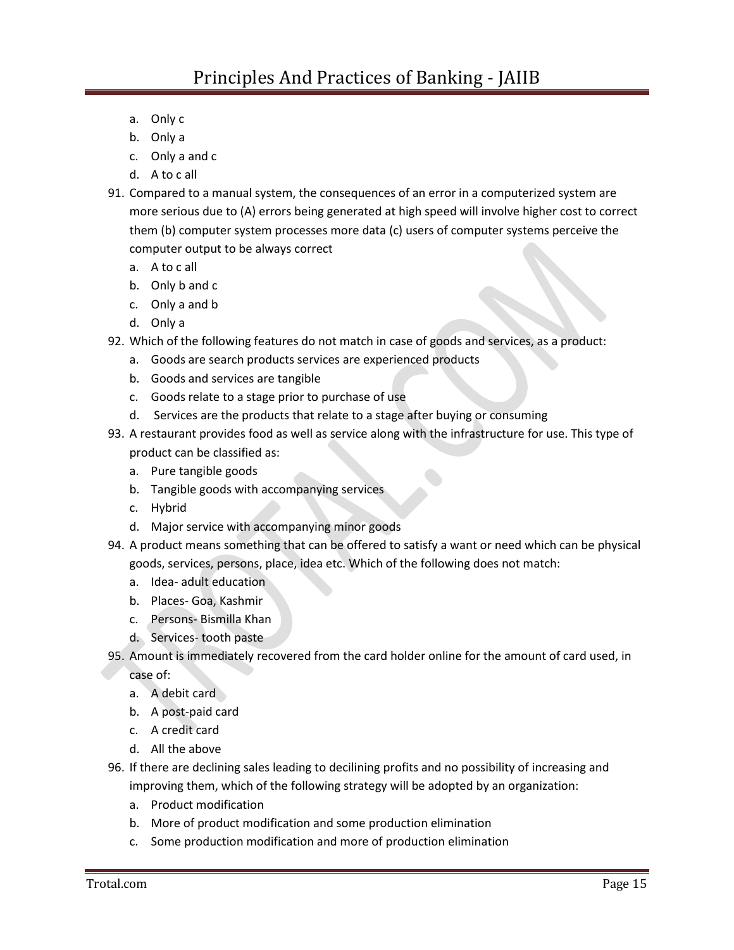- a. Only c
- b. Only a
- c. Only a and c
- d. A to c all
- 91. Compared to a manual system, the consequences of an error in a computerized system are more serious due to (A) errors being generated at high speed will involve higher cost to correct them (b) computer system processes more data (c) users of computer systems perceive the computer output to be always correct
	- a. A to c all
	- b. Only b and c
	- c. Only a and b
	- d. Only a
- 92. Which of the following features do not match in case of goods and services, as a product:
	- a. Goods are search products services are experienced products
	- b. Goods and services are tangible
	- c. Goods relate to a stage prior to purchase of use
	- d. Services are the products that relate to a stage after buying or consuming
- 93. A restaurant provides food as well as service along with the infrastructure for use. This type of product can be classified as:
	- a. Pure tangible goods
	- b. Tangible goods with accompanying services
	- c. Hybrid
	- d. Major service with accompanying minor goods
- 94. A product means something that can be offered to satisfy a want or need which can be physical goods, services, persons, place, idea etc. Which of the following does not match:
	- a. Idea- adult education
	- b. Places- Goa, Kashmir
	- c. Persons- Bismilla Khan
	- d. Services- tooth paste
- 95. Amount is immediately recovered from the card holder online for the amount of card used, in

case of:

- a. A debit card
- b. A post-paid card
- c. A credit card
- d. All the above
- 96. If there are declining sales leading to decilining profits and no possibility of increasing and improving them, which of the following strategy will be adopted by an organization:
	- a. Product modification
	- b. More of product modification and some production elimination
	- c. Some production modification and more of production elimination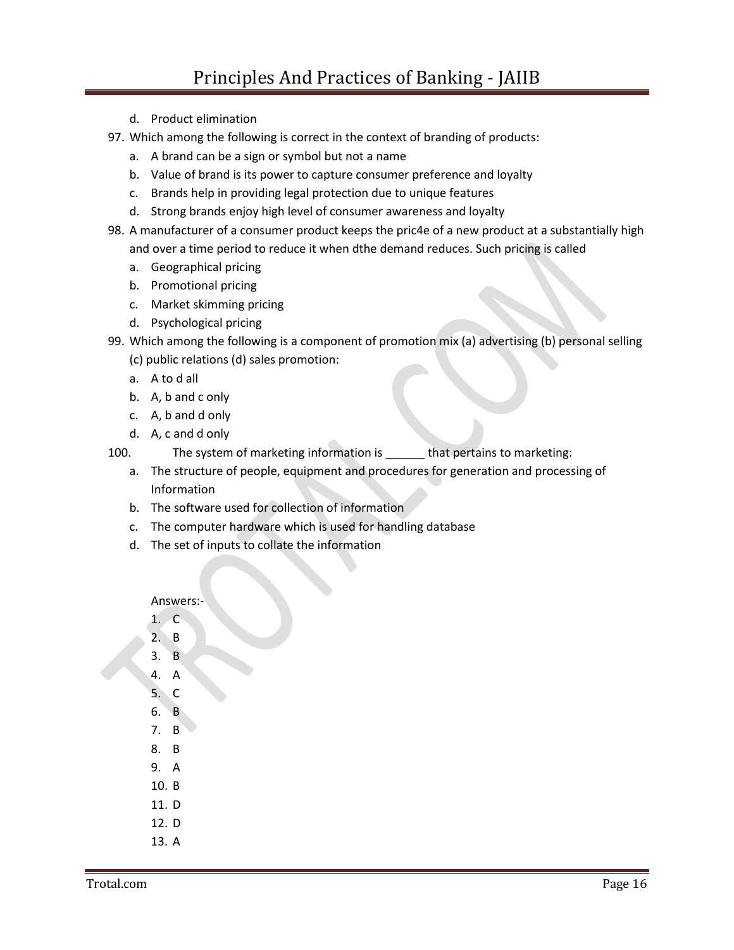- d. Product elimination
- 97. Which among the following is correct in the context of branding of products:
	- a. A brand can be a sign or symbol but not a name
	- b. Value of brand is its power to capture consumer preference and loyalty
	- c. Brands help in providing legal protection due to unique features
	- d. Strong brands enjoy high level of consumer awareness and loyalty
- 98. A manufacturer of a consumer product keeps the pric4e of a new product at a substantially high and over a time period to reduce it when dthe demand reduces. Such pricing is called
	- a. Geographical pricing
	- b. Promotional pricing
	- c. Market skimming pricing
	- d. Psychological pricing
- 99. Which among the following is a component of promotion mix (a) advertising (b) personal selling (c) public relations (d) sales promotion:
	- a. A to d all
	- b. A, b and c only
	- c. A, b and d only
	- d. A, c and d only
- 100. The system of marketing information is \_\_\_\_\_\_ that pertains to marketing:
	- a. The structure of people, equipment and procedures for generation and processing of Information
	- b. The software used for collection of information
	- c. The computer hardware which is used for handling database
	- d. The set of inputs to collate the information

## Answers:-

- 1. C
- 2. B
- 3. B
- 4. A
- 5. C
- 6. B
- 7. B
- 8. B
- 9. A
- 10. B
- 11. D
- 12. D
- 13. A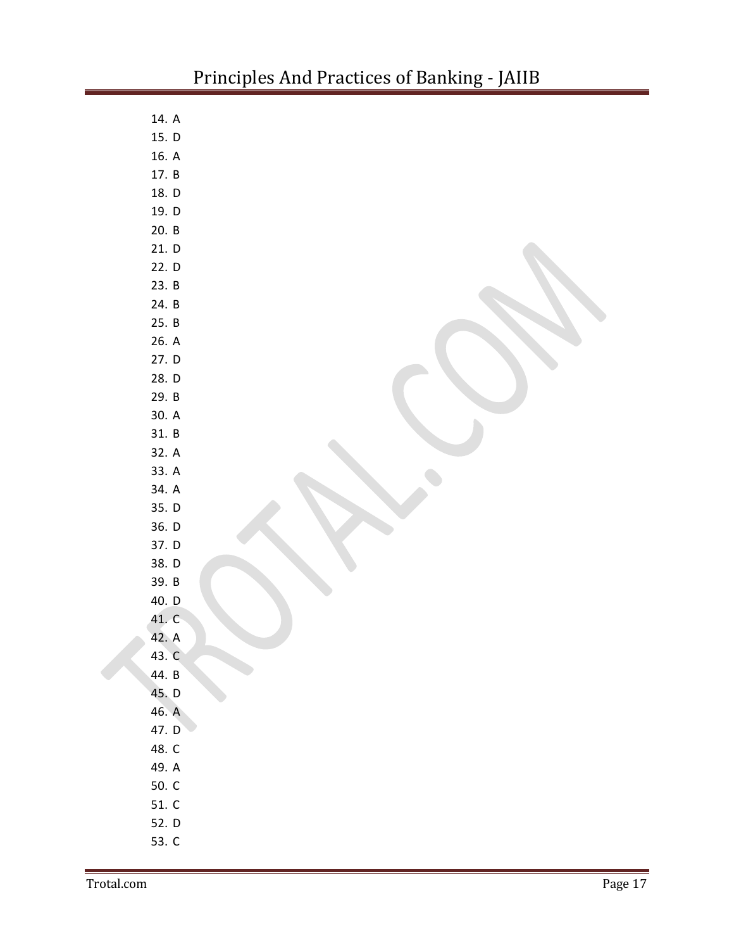| 14. $A$ |  |
|---------|--|
| 15. D   |  |
| 16. A   |  |
| 17. B   |  |
| 18. D   |  |
| 19. D   |  |
| 20. B   |  |
| 21. D   |  |
| 22. D   |  |
| 23. B   |  |
| 24. B   |  |
| 25. B   |  |
| 26. A   |  |
| 27. D   |  |
| 28. D   |  |
| 29. B   |  |
| 30. A   |  |
| 31. B   |  |
| 32. A   |  |
| 33. A   |  |
| 34. A   |  |
| 35. D   |  |
| 36. D   |  |
| 37. D   |  |
| 38. D   |  |
| 39. B   |  |
| 40. D   |  |
| 41. C   |  |
| 42. A   |  |
| 43. C   |  |
| 44. B   |  |
| 45. D   |  |
| 46. A   |  |
| 47. D   |  |
| 48. C   |  |
| 49. A   |  |
| 50. C   |  |
| 51. C   |  |
| 52. D   |  |
| 53. C   |  |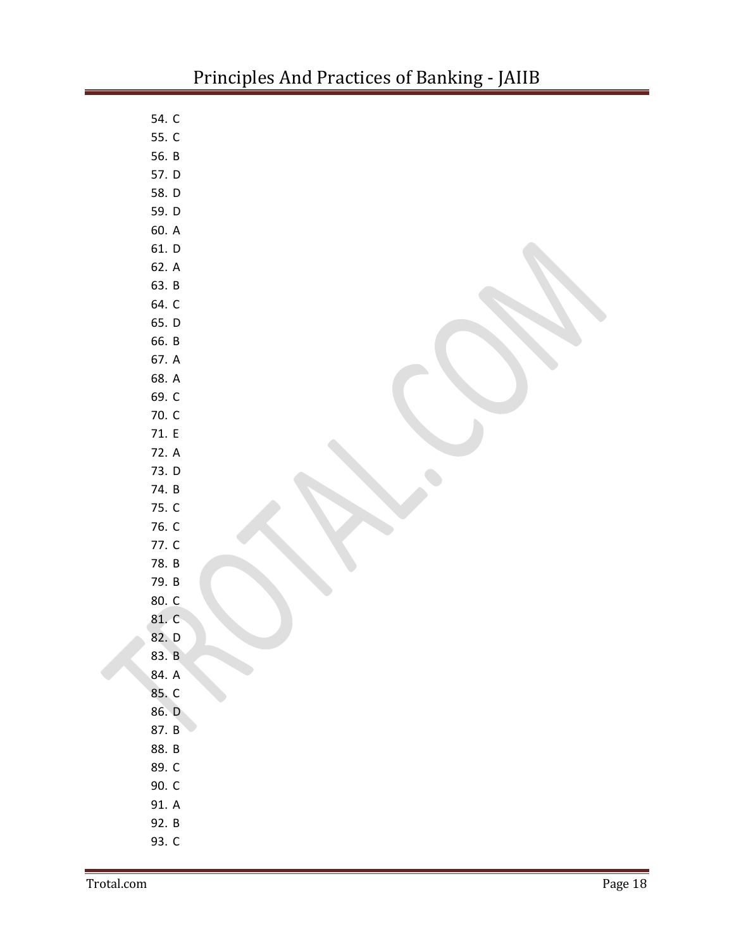| 54. C |  |
|-------|--|
| 55. C |  |
| 56. B |  |
| 57. D |  |
| 58. D |  |
| 59. D |  |
| 60. A |  |
| 61. D |  |
| 62. A |  |
| 63. B |  |
| 64. C |  |
| 65. D |  |
| 66. B |  |
| 67. A |  |
| 68. A |  |
| 69. C |  |
| 70. C |  |
| 71. E |  |
| 72. A |  |
| 73. D |  |
| 74. B |  |
| 75. C |  |
| 76. C |  |
| 77. C |  |
| 78. B |  |
| 79. B |  |
| 80. C |  |
| 81. C |  |
| 82. D |  |
| 83. B |  |
| 84. A |  |
| 85. C |  |
| 86. D |  |
| 87. B |  |
| 88. B |  |
| 89. C |  |
| 90. C |  |
| 91. A |  |
| 92. B |  |
| 93. C |  |